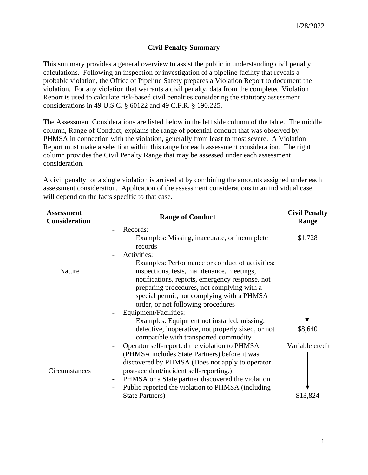## **Civil Penalty Summary**

This summary provides a general overview to assist the public in understanding civil penalty calculations. Following an inspection or investigation of a pipeline facility that reveals a probable violation, the Office of Pipeline Safety prepares a Violation Report to document the violation. For any violation that warrants a civil penalty, data from the completed Violation Report is used to calculate risk-based civil penalties considering the statutory assessment considerations in 49 U.S.C. § 60122 and 49 C.F.R. § 190.225.

The Assessment Considerations are listed below in the left side column of the table. The middle column, Range of Conduct, explains the range of potential conduct that was observed by PHMSA in connection with the violation, generally from least to most severe. A Violation Report must make a selection within this range for each assessment consideration. The right column provides the Civil Penalty Range that may be assessed under each assessment consideration.

A civil penalty for a single violation is arrived at by combining the amounts assigned under each assessment consideration.Application of the assessment considerations in an individual case will depend on the facts specific to that case.

| <b>Assessment</b><br><b>Consideration</b> | <b>Range of Conduct</b>                                                                                                                                                                                                                                                                                                                                       | <b>Civil Penalty</b><br>Range |
|-------------------------------------------|---------------------------------------------------------------------------------------------------------------------------------------------------------------------------------------------------------------------------------------------------------------------------------------------------------------------------------------------------------------|-------------------------------|
|                                           | Records:<br>Examples: Missing, inaccurate, or incomplete<br>records<br>Activities:                                                                                                                                                                                                                                                                            | \$1,728                       |
| Nature                                    | Examples: Performance or conduct of activities:<br>inspections, tests, maintenance, meetings,<br>notifications, reports, emergency response, not<br>preparing procedures, not complying with a<br>special permit, not complying with a PHMSA<br>order, or not following procedures                                                                            |                               |
|                                           | Equipment/Facilities:<br>Examples: Equipment not installed, missing,                                                                                                                                                                                                                                                                                          |                               |
|                                           | defective, inoperative, not properly sized, or not<br>compatible with transported commodity                                                                                                                                                                                                                                                                   | \$8,640                       |
| Circumstances                             | Operator self-reported the violation to PHMSA<br>(PHMSA includes State Partners) before it was<br>discovered by PHMSA (Does not apply to operator<br>post-accident/incident self-reporting.)<br>PHMSA or a State partner discovered the violation<br>$\overline{\phantom{a}}$<br>Public reported the violation to PHMSA (including<br><b>State Partners</b> ) | Variable credit<br>\$13,824   |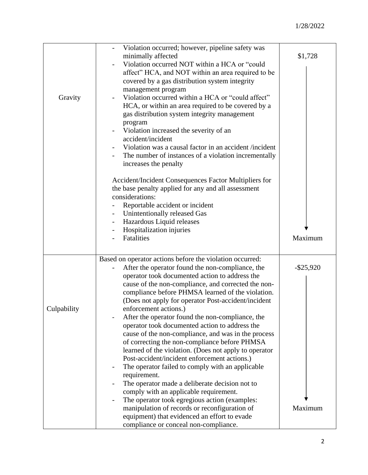| Gravity     | Violation occurred; however, pipeline safety was<br>minimally affected<br>Violation occurred NOT within a HCA or "could<br>affect" HCA, and NOT within an area required to be<br>covered by a gas distribution system integrity<br>management program<br>Violation occurred within a HCA or "could affect"<br>$\overline{\phantom{a}}$<br>HCA, or within an area required to be covered by a<br>gas distribution system integrity management<br>program<br>Violation increased the severity of an<br>$\qquad \qquad -$<br>accident/incident                   | \$1,728      |
|-------------|---------------------------------------------------------------------------------------------------------------------------------------------------------------------------------------------------------------------------------------------------------------------------------------------------------------------------------------------------------------------------------------------------------------------------------------------------------------------------------------------------------------------------------------------------------------|--------------|
|             | Violation was a causal factor in an accident /incident<br>The number of instances of a violation incrementally<br>increases the penalty                                                                                                                                                                                                                                                                                                                                                                                                                       |              |
|             | Accident/Incident Consequences Factor Multipliers for<br>the base penalty applied for any and all assessment<br>considerations:<br>Reportable accident or incident<br>Unintentionally released Gas<br>$\blacksquare$<br>Hazardous Liquid releases                                                                                                                                                                                                                                                                                                             |              |
|             | Hospitalization injuries<br>Fatalities                                                                                                                                                                                                                                                                                                                                                                                                                                                                                                                        | Maximum      |
|             | Based on operator actions before the violation occurred:<br>After the operator found the non-compliance, the<br>operator took documented action to address the<br>cause of the non-compliance, and corrected the non-<br>compliance before PHMSA learned of the violation.<br>(Does not apply for operator Post-accident/incident                                                                                                                                                                                                                             | $-$ \$25,920 |
| Culpability | enforcement actions.)<br>After the operator found the non-compliance, the<br>operator took documented action to address the<br>cause of the non-compliance, and was in the process<br>of correcting the non-compliance before PHMSA<br>learned of the violation. (Does not apply to operator<br>Post-accident/incident enforcement actions.)<br>The operator failed to comply with an applicable<br>requirement.<br>The operator made a deliberate decision not to<br>comply with an applicable requirement.<br>The operator took egregious action (examples: |              |
|             | manipulation of records or reconfiguration of<br>equipment) that evidenced an effort to evade<br>compliance or conceal non-compliance.                                                                                                                                                                                                                                                                                                                                                                                                                        | Maximum      |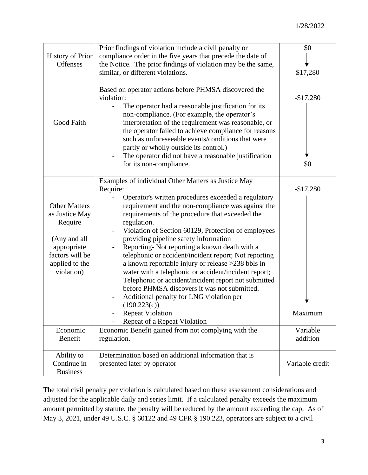| <b>History of Prior</b><br>Offenses                                                                                                 | Prior findings of violation include a civil penalty or<br>compliance order in the five years that precede the date of<br>the Notice. The prior findings of violation may be the same,<br>similar, or different violations.<br>Based on operator actions before PHMSA discovered the<br>violation:<br>The operator had a reasonable justification for its<br>$\overline{\phantom{a}}$<br>non-compliance. (For example, the operator's                                                                                                                                                                                                                                                                                                                                                                 | \$0<br>\$17,280<br>$-$17,280$ |
|-------------------------------------------------------------------------------------------------------------------------------------|------------------------------------------------------------------------------------------------------------------------------------------------------------------------------------------------------------------------------------------------------------------------------------------------------------------------------------------------------------------------------------------------------------------------------------------------------------------------------------------------------------------------------------------------------------------------------------------------------------------------------------------------------------------------------------------------------------------------------------------------------------------------------------------------------|-------------------------------|
| Good Faith                                                                                                                          | interpretation of the requirement was reasonable, or<br>the operator failed to achieve compliance for reasons<br>such as unforeseeable events/conditions that were<br>partly or wholly outside its control.)<br>The operator did not have a reasonable justification<br>for its non-compliance.                                                                                                                                                                                                                                                                                                                                                                                                                                                                                                      | \$0                           |
| <b>Other Matters</b><br>as Justice May<br>Require<br>(Any and all<br>appropriate<br>factors will be<br>applied to the<br>violation) | Examples of individual Other Matters as Justice May<br>Require:<br>Operator's written procedures exceeded a regulatory<br>requirement and the non-compliance was against the<br>requirements of the procedure that exceeded the<br>regulation.<br>Violation of Section 60129, Protection of employees<br>providing pipeline safety information<br>Reporting- Not reporting a known death with a<br>telephonic or accident/incident report; Not reporting<br>a known reportable injury or release >238 bbls in<br>water with a telephonic or accident/incident report;<br>Telephonic or accident/incident report not submitted<br>before PHMSA discovers it was not submitted.<br>Additional penalty for LNG violation per<br>(190.223(c))<br><b>Repeat Violation</b><br>Repeat of a Repeat Violation | $-$17,280$<br>Maximum         |
| Economic<br>Benefit                                                                                                                 | Economic Benefit gained from not complying with the<br>regulation.                                                                                                                                                                                                                                                                                                                                                                                                                                                                                                                                                                                                                                                                                                                                   | Variable<br>addition          |
| Ability to<br>Continue in<br><b>Business</b>                                                                                        | Determination based on additional information that is<br>presented later by operator                                                                                                                                                                                                                                                                                                                                                                                                                                                                                                                                                                                                                                                                                                                 | Variable credit               |

The total civil penalty per violation is calculated based on these assessment considerations and adjusted for the applicable daily and series limit. If a calculated penalty exceeds the maximum amount permitted by statute, the penalty will be reduced by the amount exceeding the cap. As of May 3, 2021, under 49 U.S.C. § 60122 and 49 CFR § 190.223, operators are subject to a civil